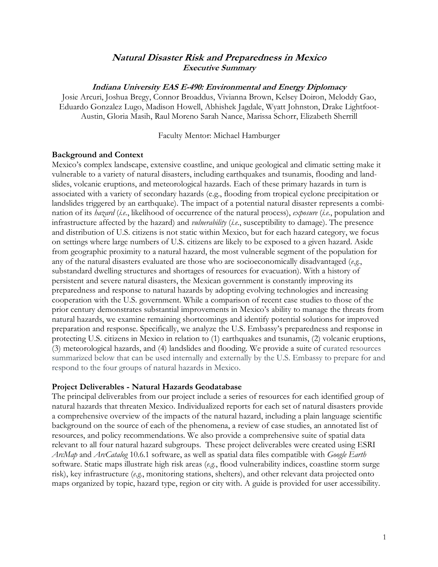# **Natural Disaster Risk and Preparedness in Mexico Executive Summary**

#### **Indiana University EAS E-490: Environmental and Energy Diplomacy**

Josie Arcuri, Joshua Bregy, Connor Broaddus, Vivianna Brown, Kelsey Doiron, Meloddy Gao, Eduardo Gonzalez Lugo, Madison Howell, Abhishek Jagdale, Wyatt Johnston, Drake Lightfoot-Austin, Gloria Masih, Raul Moreno Sarah Nance, Marissa Schorr, Elizabeth Sherrill

#### Faculty Mentor: Michael Hamburger

#### **Background and Context**

Mexico's complex landscape, extensive coastline, and unique geological and climatic setting make it vulnerable to a variety of natural disasters, including earthquakes and tsunamis, flooding and landslides, volcanic eruptions, and meteorological hazards. Each of these primary hazards in turn is associated with a variety of secondary hazards (e.g., flooding from tropical cyclone precipitation or landslides triggered by an earthquake). The impact of a potential natural disaster represents a combination of its *hazard* (*i.e.*, likelihood of occurrence of the natural process), *exposure* (*i.e.*, population and infrastructure affected by the hazard) and *vulnerability* (*i.e.*, susceptibility to damage). The presence and distribution of U.S. citizens is not static within Mexico, but for each hazard category, we focus on settings where large numbers of U.S. citizens are likely to be exposed to a given hazard. Aside from geographic proximity to a natural hazard, the most vulnerable segment of the population for any of the natural disasters evaluated are those who are socioeconomically disadvantaged (*e.g.*, substandard dwelling structures and shortages of resources for evacuation). With a history of persistent and severe natural disasters, the Mexican government is constantly improving its preparedness and response to natural hazards by adopting evolving technologies and increasing cooperation with the U.S. government. While a comparison of recent case studies to those of the prior century demonstrates substantial improvements in Mexico's ability to manage the threats from natural hazards, we examine remaining shortcomings and identify potential solutions for improved preparation and response. Specifically, we analyze the U.S. Embassy's preparedness and response in protecting U.S. citizens in Mexico in relation to (1) earthquakes and tsunamis, (2) volcanic eruptions, (3) meteorological hazards, and (4) landslides and flooding. We provide a suite of curated resources summarized below that can be used internally and externally by the U.S. Embassy to prepare for and respond to the four groups of natural hazards in Mexico.

#### **Project Deliverables - Natural Hazards Geodatabase**

The principal deliverables from our project include a series of resources for each identified group of natural hazards that threaten Mexico. Individualized reports for each set of natural disasters provide a comprehensive overview of the impacts of the natural hazard, including a plain language scientific background on the source of each of the phenomena, a review of case studies, an annotated list of resources, and policy recommendations. We also provide a comprehensive suite of spatial data relevant to all four natural hazard subgroups. These project deliverables were created using ESRI *ArcMap* and *ArcCatalog* 10.6.1 software, as well as spatial data files compatible with *Google Earth* software. Static maps illustrate high risk areas (*e.g.*, flood vulnerability indices, coastline storm surge risk), key infrastructure (*e.g.*, monitoring stations, shelters), and other relevant data projected onto maps organized by topic, hazard type, region or city with. A guide is provided for user accessibility.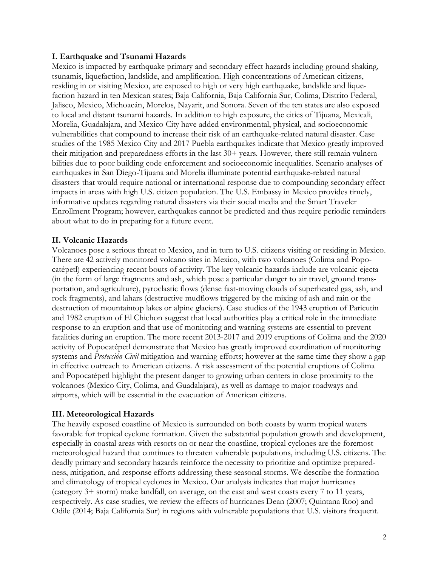## **I. Earthquake and Tsunami Hazards**

Mexico is impacted by earthquake primary and secondary effect hazards including ground shaking, tsunamis, liquefaction, landslide, and amplification. High concentrations of American citizens, residing in or visiting Mexico, are exposed to high or very high earthquake, landslide and liquefaction hazard in ten Mexican states; Baja California, Baja California Sur, Colima, Distrito Federal, Jalisco, Mexico, Michoacán, Morelos, Nayarit, and Sonora. Seven of the ten states are also exposed to local and distant tsunami hazards. In addition to high exposure, the cities of Tijuana, Mexicali, Morelia, Guadalajara, and Mexico City have added environmental, physical, and socioeconomic vulnerabilities that compound to increase their risk of an earthquake-related natural disaster. Case studies of the 1985 Mexico City and 2017 Puebla earthquakes indicate that Mexico greatly improved their mitigation and preparedness efforts in the last 30+ years. However, there still remain vulnerabilities due to poor building code enforcement and socioeconomic inequalities. Scenario analyses of earthquakes in San Diego-Tijuana and Morelia illuminate potential earthquake-related natural disasters that would require national or international response due to compounding secondary effect impacts in areas with high U.S. citizen population. The U.S. Embassy in Mexico provides timely, informative updates regarding natural disasters via their social media and the Smart Traveler Enrollment Program; however, earthquakes cannot be predicted and thus require periodic reminders about what to do in preparing for a future event.

## **II. Volcanic Hazards**

Volcanoes pose a serious threat to Mexico, and in turn to U.S. citizens visiting or residing in Mexico. There are 42 actively monitored volcano sites in Mexico, with two volcanoes (Colima and Popocatépetl) experiencing recent bouts of activity. The key volcanic hazards include are volcanic ejecta (in the form of large fragments and ash, which pose a particular danger to air travel, ground transportation, and agriculture), pyroclastic flows (dense fast-moving clouds of superheated gas, ash, and rock fragments), and lahars (destructive mudflows triggered by the mixing of ash and rain or the destruction of mountaintop lakes or alpine glaciers). Case studies of the 1943 eruption of Paricutin and 1982 eruption of El Chichon suggest that local authorities play a critical role in the immediate response to an eruption and that use of monitoring and warning systems are essential to prevent fatalities during an eruption. The more recent 2013-2017 and 2019 eruptions of Colima and the 2020 activity of Popocatépetl demonstrate that Mexico has greatly improved coordination of monitoring systems and *Protección Civil* mitigation and warning efforts; however at the same time they show a gap in effective outreach to American citizens. A risk assessment of the potential eruptions of Colima and Popocatépetl highlight the present danger to growing urban centers in close proximity to the volcanoes (Mexico City, Colima, and Guadalajara), as well as damage to major roadways and airports, which will be essential in the evacuation of American citizens.

## **III. Meteorological Hazards**

The heavily exposed coastline of Mexico is surrounded on both coasts by warm tropical waters favorable for tropical cyclone formation. Given the substantial population growth and development, especially in coastal areas with resorts on or near the coastline, tropical cyclones are the foremost meteorological hazard that continues to threaten vulnerable populations, including U.S. citizens. The deadly primary and secondary hazards reinforce the necessity to prioritize and optimize preparedness, mitigation, and response efforts addressing these seasonal storms. We describe the formation and climatology of tropical cyclones in Mexico. Our analysis indicates that major hurricanes (category 3+ storm) make landfall, on average, on the east and west coasts every 7 to 11 years, respectively. As case studies, we review the effects of hurricanes Dean (2007; Quintana Roo) and Odile (2014; Baja California Sur) in regions with vulnerable populations that U.S. visitors frequent.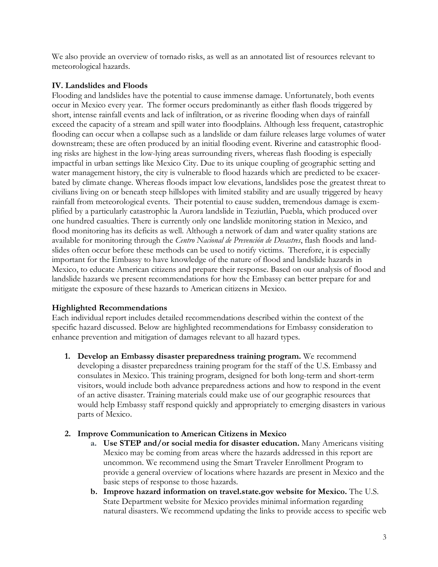We also provide an overview of tornado risks, as well as an annotated list of resources relevant to meteorological hazards.

# **IV. Landslides and Floods**

Flooding and landslides have the potential to cause immense damage. Unfortunately, both events occur in Mexico every year. The former occurs predominantly as either flash floods triggered by short, intense rainfall events and lack of infiltration, or as riverine flooding when days of rainfall exceed the capacity of a stream and spill water into floodplains. Although less frequent, catastrophic flooding can occur when a collapse such as a landslide or dam failure releases large volumes of water downstream; these are often produced by an initial flooding event. Riverine and catastrophic flooding risks are highest in the low-lying areas surrounding rivers, whereas flash flooding is especially impactful in urban settings like Mexico City. Due to its unique coupling of geographic setting and water management history, the city is vulnerable to flood hazards which are predicted to be exacerbated by climate change. Whereas floods impact low elevations, landslides pose the greatest threat to civilians living on or beneath steep hillslopes with limited stability and are usually triggered by heavy rainfall from meteorological events. Their potential to cause sudden, tremendous damage is exemplified by a particularly catastrophic la Aurora landslide in Teziutlán, Puebla, which produced over one hundred casualties. There is currently only one landslide monitoring station in Mexico, and flood monitoring has its deficits as well. Although a network of dam and water quality stations are available for monitoring through the *Centro Nacional de Prevención de Desastres*, flash floods and landslides often occur before these methods can be used to notify victims. Therefore, it is especially important for the Embassy to have knowledge of the nature of flood and landslide hazards in Mexico, to educate American citizens and prepare their response. Based on our analysis of flood and landslide hazards we present recommendations for how the Embassy can better prepare for and mitigate the exposure of these hazards to American citizens in Mexico.

## **Highlighted Recommendations**

Each individual report includes detailed recommendations described within the context of the specific hazard discussed. Below are highlighted recommendations for Embassy consideration to enhance prevention and mitigation of damages relevant to all hazard types.

**1. Develop an Embassy disaster preparedness training program.** We recommend developing a disaster preparedness training program for the staff of the U.S. Embassy and consulates in Mexico. This training program, designed for both long-term and short-term visitors, would include both advance preparedness actions and how to respond in the event of an active disaster. Training materials could make use of our geographic resources that would help Embassy staff respond quickly and appropriately to emerging disasters in various parts of Mexico.

## **2. Improve Communication to American Citizens in Mexico**

- **a. Use STEP and/or social media for disaster education.** Many Americans visiting Mexico may be coming from areas where the hazards addressed in this report are uncommon. We recommend using the Smart Traveler Enrollment Program to provide a general overview of locations where hazards are present in Mexico and the basic steps of response to those hazards.
- **b. Improve hazard information on travel.state.gov website for Mexico.** The U.S. State Department website for Mexico provides minimal information regarding natural disasters. We recommend updating the links to provide access to specific web